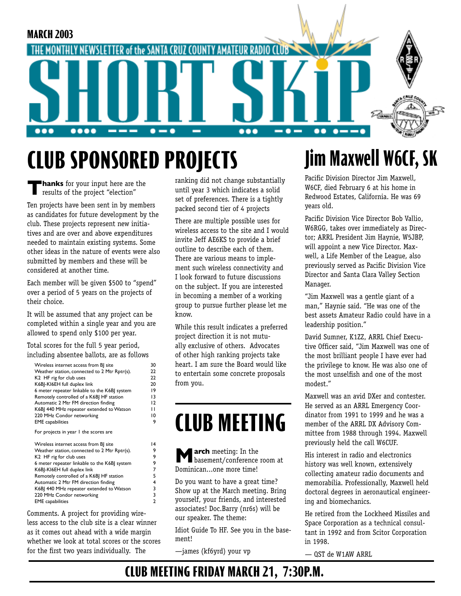

# **CLUB SPONS0RED PROJECTS**

**Thanks** for your input here are the results of the project "election"

Ten projects have been sent in by members as candidates for future development by the club. These projects represent new initiatives and are over and above expenditures needed to maintain existing systems. Some other ideas in the nature of events were also submitted by members and these will be considered at another time.

Each member will be given \$500 to "spend" over a period of 5 years on the projects of their choice.

It will be assumed that any project can be completed within a single year and you are allowed to spend only \$100 per year.

Total scores for the full 5 year period, including absentee ballots, are as follows

| Wireless internet access from BJ site        | 30             |
|----------------------------------------------|----------------|
| Weather station, connected to 2 Mtr Rptr(s). | 22             |
| K2 HF rig for club uses                      | 22             |
| K6BJ-KI6EH full duplex link                  | 20             |
| 6 meter repeater linkable to the K6BI system | 19             |
| Remotely controlled of a K6B  HF station     | 13             |
| Automatic 2 Mtr FM direction finding         | 12             |
| K6B 440 MHz repeater extended to Watson      | п              |
| 220 MHz Condor networking                    | 10             |
| <b>EME</b> capabilities                      | 9              |
| For projects in year 1 the scores are        |                |
| Wireless internet access from BJ site        | 4              |
| Weather station, connected to 2 Mtr Rptr(s). | 9              |
| K2 HF rig for club uses                      | 9              |
| 6 meter repeater linkable to the K6BJ system | 9              |
| K6BJ-KI6EH full duplex link                  | 7              |
| Remotely controlled of a K6B  HF station     | 5              |
| Automatic 2 Mtr FM direction finding         | 4              |
| K6B  440 MHz repeater extended to Watson     | 3              |
| 220 MHz Condor networking                    | 3              |
| <b>EME</b> capabilities                      | $\overline{a}$ |

Comments. A project for providing wireless access to the club site is a clear winner as it comes out ahead with a wide margin whether we look at total scores or the scores for the first two years individually. The

ranking did not change substantially until year 3 which indicates a solid set of preferences. There is a tightly packed second tier of 4 projects

There are multiple possible uses for wireless access to the site and I would invite Jeff AE6KS to provide a brief outline to describe each of them. There are various means to implement such wireless connectivity and I look forward to future discussions on the subject. If you are interested in becoming a member of a working group to pursue further please let me know.

While this result indicates a preferred project direction it is not mutually exclusive of others. Advocates of other high ranking projects take heart. I am sure the Board would like to entertain some concrete proposals from you.

# **CLUB MEETING**

**March** meeting: In the basement/conference room at Dominican...one more time!

Do you want to have a great time? Show up at the March meeting. Bring yourself, your friends, and interested associates! Doc.Barry (nr6s) will be our speaker. The theme:

Idiot Guide To HF. See you in the basement!

—james (kf6yrd) your vp

## **Jim Maxwell W6CF, SK**

Pacific Division Director Jim Maxwell, W6CF, died February 6 at his home in Redwood Estates, California. He was 69 years old.

Pacific Division Vice Director Bob Vallio, W6RGG, takes over immediately as Director; ARRL President Jim Haynie, W5JBP, will appoint a new Vice Director. Maxwell, a Life Member of the League, also previously served as Pacific Division Vice Director and Santa Clara Valley Section Manager.

"Jim Maxwell was a gentle giant of a man," Haynie said. "He was one of the best assets Amateur Radio could have in a leadership position."

David Sumner, K1ZZ, ARRL Chief Executive Officer said, "Jim Maxwell was one of the most brilliant people I have ever had the privilege to know. He was also one of the most unselfish and one of the most modest."

Maxwell was an avid DXer and contester. He served as an ARRL Emergency Coordinator from 1991 to 1999 and he was a member of the ARRL DX Advisory Committee from 1988 through 1994. Maxwell previously held the call W6CUF.

His interest in radio and electronics history was well known, extensively collecting amateur radio documents and memorabilia. Professionally, Maxwell held doctoral degrees in aeronautical engineering and biomechanics.

He retired from the Lockheed Missiles and Space Corporation as a technical consultant in 1992 and from Scitor Corporation in 1998.

QST de W1AW ARRL

## **CLUB MEETING FRIDAY MARCH 21, 7:30P.M.**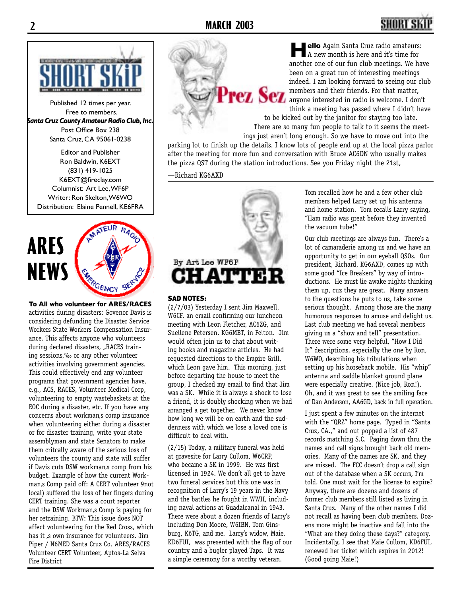## **2 MARCH 2003 3**



Published 12 times per year. Free to members. *Santa Cruz County Amateur Radio Club, Inc.* Post Office Box 238 Santa Cruz, CA 95061-0238

Editor and Publisher Ron Baldwin, K6EXT (831) 419-1025 K6EXT@fireclay.com Columnist: Art Lee, WF6P Writer: Ron Skelton, W6WO Distribution: Elaine Pennell, KE6FRA



**To All who volunteer for ARES/RACES** activities during disasters: Govenor Davis is considering defunding the Disaster Service Workers State Workers Compensation Insurance. This affects anyone who volunteers during declared disasters, "RACES training sessions,‰ or any other volunteer activities involving government agencies. This could effectively end any volunteer programs that government agencies have, e.g., ACS, RACES, Volunteer Medical Corp, volunteering to empty wastebaskets at the EOC during a disaster, etc. If you have any concerns about workman, scomp insurance when volunteering either during a disaster or for disaster training, write your state assemblyman and state Senators to make them critcally aware of the serious loss of volunteers the county and state will suffer if Davis cuts DSW workman,s comp from his budget. Example of how the current Workman's Comp paid off: A CERT volunteer 9not local) suffered the loss of her fingers during CERT training. She was a court reporter and the DSW Workman, comp is paying for her retraining. BTW: This issue does NOT affect volunteering for the Red Cross, which has it ,s own insurance for volunteers. Jim Piper / N6MED Santa Cruz Co. ARES/RACES Volunteer CERT Volunteer, Aptos-La Selva Fire District

By Art Lee WF6P **ATTER** 

#### SAD NOTES:

(2/7/03) Yesterday I sent Jim Maxwell, W6CF, an email confirming our luncheon meeting with Leon Fletcher, AC6ZG, and Suellene Petersen, KG6MBT, in Felton. Jim would often join us to chat about writing books and magazine articles. He had requested directions to the Empire Grill, which Leon gave him. This morning, just before departing the house to meet the group, I checked my email to find that Jim was a SK. While it is always a shock to lose a friend, it is doubly shocking when we had arranged a get together. We never know how long we will be on earth and the suddenness with which we lose a loved one is difficult to deal with.

(2/15) Today, a military funeral was held at gravesite for Larry Cullom, W6CRP, who became a SK in 1999. He was first licensed in 1924. We don't all get to have two funeral services but this one was in recognition of Larry's 19 years in the Navy and the battles he fought in WWII, including naval actions at Guadalcanal in 1943. There were about a dozen friends of Larry's including Don Moore, W6IBN, Tom Ginsburg, K6TG, and me. Larry's widow, Maie, KD6FUI, was presented with the flag of our country and a bugler played Taps. It was a simple ceremony for a worthy veteran.

**Hello** Again Santa Cruz radio amateurs: A new month is here and it's time for another one of our fun club meetings. We have been on a great run of interesting meetings indeed. I am looking forward to seeing our club members and their friends. For that matter, anyone interested in radio is welcome. I don't think a meeting has passed where I didn't have

to be kicked out by the janitor for staying too late. There are so many fun people to talk to it seems the meetings just aren't long enough. So we have to move out into the

parking lot to finish up the details. I know lots of people end up at the local pizza parlor after the meeting for more fun and conversation with Bruce AC6DN who usually makes the pizza QST during the station introductions. See you Friday night the 21st,

—Richard KG6AXD



Tom recalled how he and a few other club members helped Larry set up his antenna and home station. Tom recalls Larry saying, "Ham radio was great before they invented the vacuum tube!"

Our club meetings are always fun. There's a lot of camaraderie among us and we have an opportunity to get in our eyeball QSOs. Our president, Richard, KG6AXD, comes up with some good "Ice Breakers" by way of introductions. He must lie awake nights thinking them up, cuz they are great. Many answers to the questions he puts to us, take some serious thought. Among those are the many humorous responses to amuse and delight us. Last club meeting we had several members giving us a "show and tell" presentation. There were some very helpful, "How I Did It" descriptions, especially the one by Ron, W6WO, describing his tribulations when setting up his horseback mobile. His "whip" antenna and saddle blanket ground plane were especially creative. (Nice job, Ron!). Oh, and it was great to see the smiling face of Dan Anderson, AA6GD, back in full operation.

I just spent a few minutes on the internet with the "QRZ" home page. Typed in "Santa Cruz, CA.," and out popped a list of 487 records matching S.C. Paging down thru the names and call signs brought back old memories. Many of the names are SK, and they are missed. The FCC doesn't drop a call sign out of the database when a SK occurs, I'm told. One must wait for the license to expire? Anyway, there are dozens and dozens of former club members still listed as living in Santa Cruz. Many of the other names I did not recall as having been club members. Dozens more might be inactive and fall into the "What are they doing these days?" category. Incidentally, I see that Maie Cullom, KD6FUI, renewed her ticket which expires in 2012! (Good going Maie!)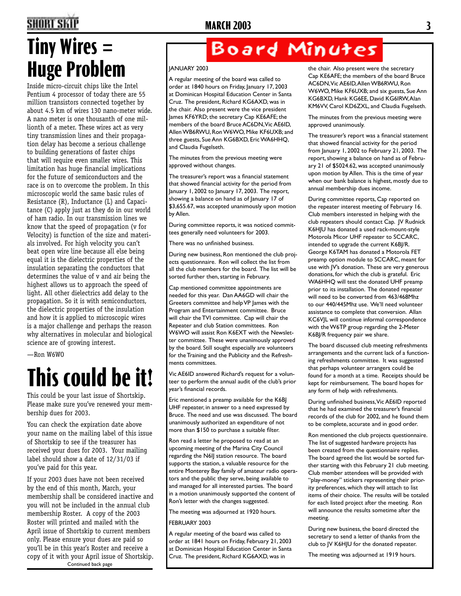# **Tiny Wires = Huge Problem**

Inside micro-circuit chips like the Intel Pentium 4 processor of today there are 55 million transistors connected together by about 4.5 km of wires 130 nano-meter wide. A nano meter is one thousanth of one millionth of a meter. These wires act as very tiny transmission lines and their propagation delay has become a serious challenge to building generations of faster chips that will require even smaller wires. This limitation has huge financial implications for the future of semiconductors and the race is on to overcome the problem. In this microscopic world the same basic rules of Resistance (R), Inductance (L) and Capacitance (C) apply just as they do in our world of ham radio. In our transmission lines we know that the speed of propagation (v for Velocity) is function of the size and materials involved. For high velocity you can't beat open wire line because all else being equal it is the dielectric properties of the insulation separating the conductors that determines the value of v and air being the highest allows us to approach the speed of light. All other dielectrics add delay to the propagation. So it is with semiconductors, the dielectric properties of the insulation and how it is applied to microscopic wires is a major challenge and perhaps the reason why alternatives in molecular and biological science are of growing interest.

—Ron W6WO

# **This could be it!**

This could be your last issue of Shortskip. Please make sure you've renewed your membership dues for 2003.

You can check the expiration date above your name on the mailing label of this issue of Shortskip to see if the treasurer has received your dues for 2003. Your mailing label should show a date of 12/31/03 if you've paid for this year.

If your 2003 dues have not been received by the end of this month, March, your membership shall be considered inactive and you will not be included in the annual club membership Roster. A copy of the 2003 Roster will printed and mailed with the April issue of Shortskip to current members only. Please ensure your dues are paid so you'll be in this year's Roster and receive a copy of it with your April issue of Shortskip.

Continued back page

## Board Minutes

#### JANUARY 2003

A regular meeting of the board was called to order at 1840 hours on Friday, January 17, 2003 at Dominican Hospital Education Center in Santa Cruz. The president, Richard KG6AXD, was in the chair. Also present were the vice president James KF6YRD; the secretary Cap KE6AFE; the members of the board Bruce AC6DN, Vic AE6ID, Allen WB6RWU, Ron W6WO, Mike KF6UXB; and three guests, Sue Ann KG6BXD, Eric WA6HHQ, and Claudia Fugelseth.

The minutes from the previous meeting were approved without changes.

The treasurer's report was a financial statement that showed financial activity for the period from January 1, 2002 to January 17, 2003. The report, showing a balance on hand as of January 17 of \$3,655.67, was accepted unanimously upon motion by Allen.

During committee reports, it was noticed committees generally need volunteers for 2003.

There was no unfinished business.

During new business, Ron mentioned the club projects questionnaire. Ron will collect the list from all the club members for the board. The list will be sorted further then, starting in February.

Cap mentioned committee appointments are needed for this year. Dan AA6GD will chair the Greeters committee and help VP James with the Program and Entertainment committee. Bruce will chair the TVI committee. Cap will chair the Repeater and club Station committees. Ron W6WO will assist Ron K6EXT with the Newsletter committee. These were unanimously approved by the board. Still sought especially are volunteers for the Training and the Publicity and the Refreshments committees.

Vic AE6ID answered Richard's request for a volunteer to perform the annual audit of the club's prior year's financial records.

Eric mentioned a preamp available for the K6BJ UHF repeater, in answer to a need expressed by Bruce. The need and use was discussed. The board unanimously authorized an expenditure of not more than \$150 to purchase a suitable filter.

Ron read a letter he proposed to read at an upcoming meeting of the Marina City Council regarding the N6IJ station resource. The board supports the station, a valuable resource for the entire Monterey Bay family of amateur radio operators and the public they serve, being available to and managed for all interested parties. The board in a motion unanimously supported the content of Ron's letter with the changes suggested.

The meeting was adjourned at 1920 hours. FEBRUARY 2003

A regular meeting of the board was called to order at 1841 hours on Friday, February 21, 2003 at Dominican Hospital Education Center in Santa Cruz. The president, Richard KG6AXD, was in

the chair. Also present were the secretary Cap KE6AFE; the members of the board Bruce AC6DN, Vic AE6ID, Allen WB6RWU, Ron W6WO, Mike KF6UXB; and six guests, Sue Ann KG6BXD, Hank KG6EE, David KG6IRW, Alan KM6VV, Carol KD6ZXL, and Claudia Fugelseth.

The minutes from the previous meeting were approved unanimously.

The treasurer's report was a financial statement that showed financial activity for the period from January 1, 2002 to February 21, 2003. The report, showing a balance on hand as of February 21 of \$5024.62, was accepted unanimously upon motion by Allen. This is the time of year when our bank balance is highest, mostly due to annual membership dues income.

During committee reports, Cap reported on the repeater interest meeting of February 16. Club members interested in helping with the club repeaters should contact Cap. JV Rudnick K6HJU has donated a used rack-mount-style Motorola Micor UHF repeater to SCCARC, intended to upgrade the current K6BJ/R. George K6TAM has donated a Motorola FET preamp option module to SCCARC, meant for use with JV's donation. These are very generous donations, for which the club is grateful. Eric WA6HHQ will test the donated UHF preamp prior to its installation. The donated repeater will need to be converted from 463/468Mhz to our 440/445Mhz use. We'll need volunteer assistance to complete that conversion. Allan KC6VJL will continue informal correspondence with the W6TP group regarding the 2-Meter K6BJ/R frequency pair we share.

The board discussed club meeting refreshments arrangements and the current lack of a functioning refreshments committee. It was suggested that perhaps volunteer arrangers could be found for a month at a time. Receipts should be kept for reimbursement. The board hopes for any form of help with refreshments.

During unfinished business, Vic AE6ID reported that he had examined the treasurer's financial records of the club for 2002, and he found them to be complete, accurate and in good order.

Ron mentioned the club projects questionnaire. The list of suggested hardware projects has been created from the questionnaire replies. The board agreed the list would be sorted further starting with this February 21 club meeting. Club member attendees will be provided with "play-money" stickers representing their priority preferences, which they will attach to list items of their choice. The results will be totaled for each listed project after the meeting. Ron will announce the results sometime after the meeting.

During new business, the board directed the secretary to send a letter of thanks from the club to JV K6HJU for the donated repeater.

The meeting was adjourned at 1919 hours.